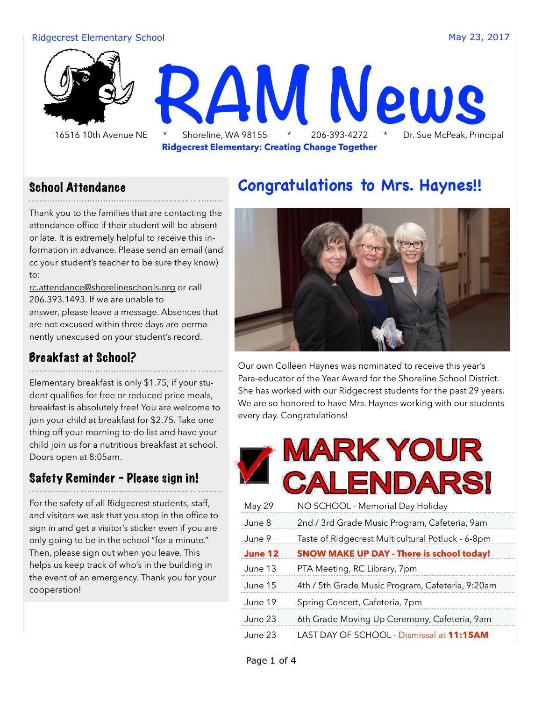#### Ridgecrest Elementary School and The Control May 23, 2017



**Ridgecrest Elementary: Creating Change Together**

#### School Attendance

Thank you to the families that are contacting the attendance office if their student will be absent or late. It is extremely helpful to receive this information in advance. Please send an email (and cc your student's teacher to be sure they know) to:

[rc.attendance@shorelineschools.org](mailto:rc.attendance@shorelineschools.org) or call 206.393.1493. If we are unable to answer, please leave a message. Absences that are not excused within three days are permanently unexcused on your student's record.

#### Breakfast at School?

Elementary breakfast is only \$1.75; if your student qualifies for free or reduced price meals, breakfast is absolutely free! You are welcome to join your child at breakfast for \$2.75. Take one thing off your morning to-do list and have your child join us for a nutritious breakfast at school. Doors open at 8:05am.

#### Safety Reminder - Please sign in!

For the safety of all Ridgecrest students, staff, and visitors we ask that you stop in the office to sign in and get a visitor's sticker even if you are only going to be in the school "for a minute." Then, please sign out when you leave. This helps us keep track of who's in the building in the event of an emergency. Thank you for your cooperation!

### **Congratulations to Mrs. Haynes!!**



Our own Colleen Haynes was nominated to receive this year's Para-educator of the Year Award for the Shoreline School District. She has worked with our Ridgecrest students for the past 29 years. We are so honored to have Mrs. Haynes working with our students every day. Congratulations!

|         | MARK YOUR<br>ENDARS                               |  |  |  |
|---------|---------------------------------------------------|--|--|--|
| May 29  | NO SCHOOL - Memorial Day Holiday                  |  |  |  |
| June 8  | 2nd / 3rd Grade Music Program, Cafeteria, 9am     |  |  |  |
| June 9  | Taste of Ridgecrest Multicultural Potluck - 6-8pm |  |  |  |
| June 12 | <b>SNOW MAKE UP DAY - There is school today!</b>  |  |  |  |
| June 13 | PTA Meeting, RC Library, 7pm                      |  |  |  |
| June 15 | 4th / 5th Grade Music Program, Cafeteria, 9:20am  |  |  |  |
| June 19 | Spring Concert, Cafeteria, 7pm                    |  |  |  |
| June 23 | 6th Grade Moving Up Ceremony, Cafeteria, 9am      |  |  |  |
| June 23 | LAST DAY OF SCHOOL - Dismissal at 11:15AM         |  |  |  |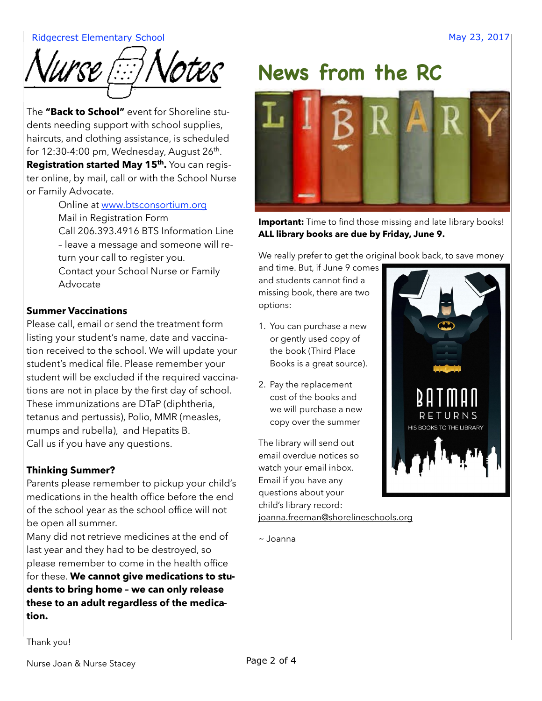#### Ridgecrest Elementary School and The Contract of the Contract of the May 23, 2017



The **"Back to School"** event for Shoreline students needing support with school supplies, haircuts, and clothing assistance, is scheduled for 12:30-4:00 pm, Wednesday, August  $26<sup>th</sup>$ . Registration started May 15<sup>th</sup>. You can register online, by mail, call or with the School Nurse or Family Advocate.

Online at [www.btsconsortium.org](http://www.btsconsortium.org) Mail in Registration Form Call 206.393.4916 BTS Information Line – leave a message and someone will return your call to register you. Contact your School Nurse or Family Advocate

#### **Summer Vaccinations**

Please call, email or send the treatment form listing your student's name, date and vaccination received to the school. We will update your student's medical file. Please remember your student will be excluded if the required vaccinations are not in place by the first day of school. These immunizations are DTaP (diphtheria, tetanus and pertussis), Polio, MMR (measles, mumps and rubella), and Hepatits B. Call us if you have any questions.

#### **Thinking Summer?**

Parents please remember to pickup your child's medications in the health office before the end of the school year as the school office will not be open all summer.

Many did not retrieve medicines at the end of last year and they had to be destroyed, so please remember to come in the health office for these. **We cannot give medications to students to bring home – we can only release these to an adult regardless of the medication.**

# **News from the RC**



**Important:** Time to find those missing and late library books! **ALL library books are due by Friday, June 9.**

We really prefer to get the original book back, to save money

and time. But, if June 9 comes and students cannot find a missing book, there are two options:

- 1. You can purchase a new or gently used copy of the book (Third Place Books is a great source).
- 2. Pay the replacement cost of the books and we will purchase a new copy over the summer

The library will send out email overdue notices so watch your email inbox. Email if you have any questions about your child's library record: [joanna.freeman@shorelineschools.org](mailto:joanna.freeman@shorelineschools.org)

~ Joanna

Thank you!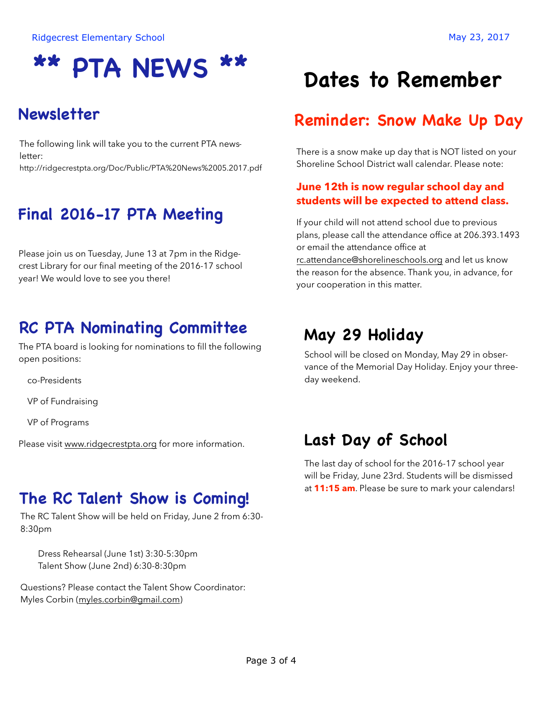# **\*\* PTA NEWS \*\***

# **Newsletter**

The following link will take you to the current PTA newsletter: http://ridgecrestpta.org/Doc/Public/PTA%20News%2005.2017.pdf

# **Final 2016-17 PTA Meeting**

Please join us on Tuesday, June 13 at 7pm in the Ridgecrest Library for our final meeting of the 2016-17 school year! We would love to see you there!

# **RC PTA Nominating Committee**

The PTA board is looking for nominations to fill the following open positions:

co-Presidents

VP of Fundraising

VP of Programs

Please visit [www.ridgecrestpta.org](http://www.ridgecrestpta.org) for more information.

### **The RC Talent Show is Coming!**

The RC Talent Show will be held on Friday, June 2 from 6:30- 8:30pm

 Dress Rehearsal (June 1st) 3:30-5:30pm Talent Show (June 2nd) 6:30-8:30pm

Questions? Please contact the Talent Show Coordinator: Myles Corbin ([myles.corbin@gmail.com](mailto:myles.corbin@gmail.com))

# **Dates to Remember**

## **Reminder: Snow Make Up Day**

There is a snow make up day that is NOT listed on your Shoreline School District wall calendar. Please note:

#### **June 12th is now regular school day and students will be expected to attend class.**

If your child will not attend school due to previous plans, please call the attendance office at 206.393.1493 or email the attendance office at [rc.attendance@shorelineschools.org](mailto:rc.attendance@shorelineschools.org) and let us know the reason for the absence. Thank you, in advance, for your cooperation in this matter.

# **May 29 Holiday**

School will be closed on Monday, May 29 in observance of the Memorial Day Holiday. Enjoy your threeday weekend.

## **Last Day of School**

The last day of school for the 2016-17 school year will be Friday, June 23rd. Students will be dismissed at **11:15 am**. Please be sure to mark your calendars!